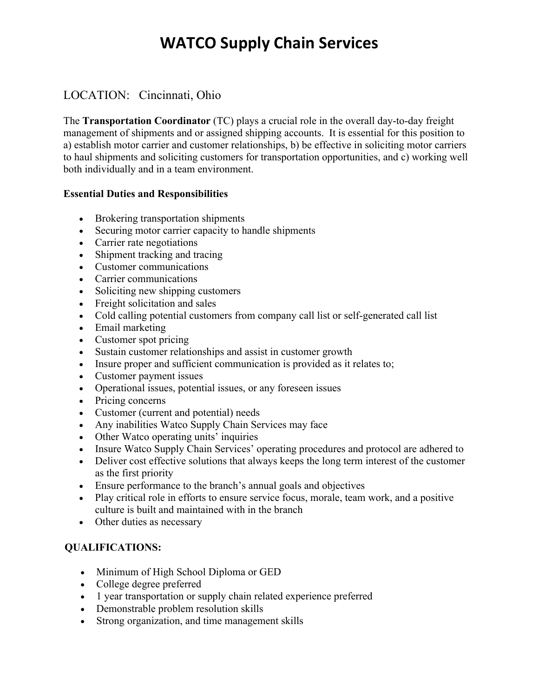# **WATCO Supply Chain Services**

### LOCATION: Cincinnati, Ohio

The **Transportation Coordinator** (TC) plays a crucial role in the overall day-to-day freight management of shipments and or assigned shipping accounts. It is essential for this position to a) establish motor carrier and customer relationships, b) be effective in soliciting motor carriers to haul shipments and soliciting customers for transportation opportunities, and c) working well both individually and in a team environment.

#### **Essential Duties and Responsibilities**

- Brokering transportation shipments
- Securing motor carrier capacity to handle shipments
- Carrier rate negotiations
- Shipment tracking and tracing
- Customer communications
- Carrier communications
- Soliciting new shipping customers
- Freight solicitation and sales
- Cold calling potential customers from company call list or self-generated call list
- Email marketing
- Customer spot pricing
- Sustain customer relationships and assist in customer growth
- Insure proper and sufficient communication is provided as it relates to;
- Customer payment issues
- Operational issues, potential issues, or any foreseen issues
- Pricing concerns
- Customer (current and potential) needs
- Any inabilities Watco Supply Chain Services may face
- Other Watco operating units' inquiries
- Insure Watco Supply Chain Services' operating procedures and protocol are adhered to
- Deliver cost effective solutions that always keeps the long term interest of the customer as the first priority
- Ensure performance to the branch's annual goals and objectives
- Play critical role in efforts to ensure service focus, morale, team work, and a positive culture is built and maintained with in the branch
- Other duties as necessary

### **QUALIFICATIONS:**

- Minimum of High School Diploma or GED
- College degree preferred
- 1 year transportation or supply chain related experience preferred
- Demonstrable problem resolution skills
- Strong organization, and time management skills